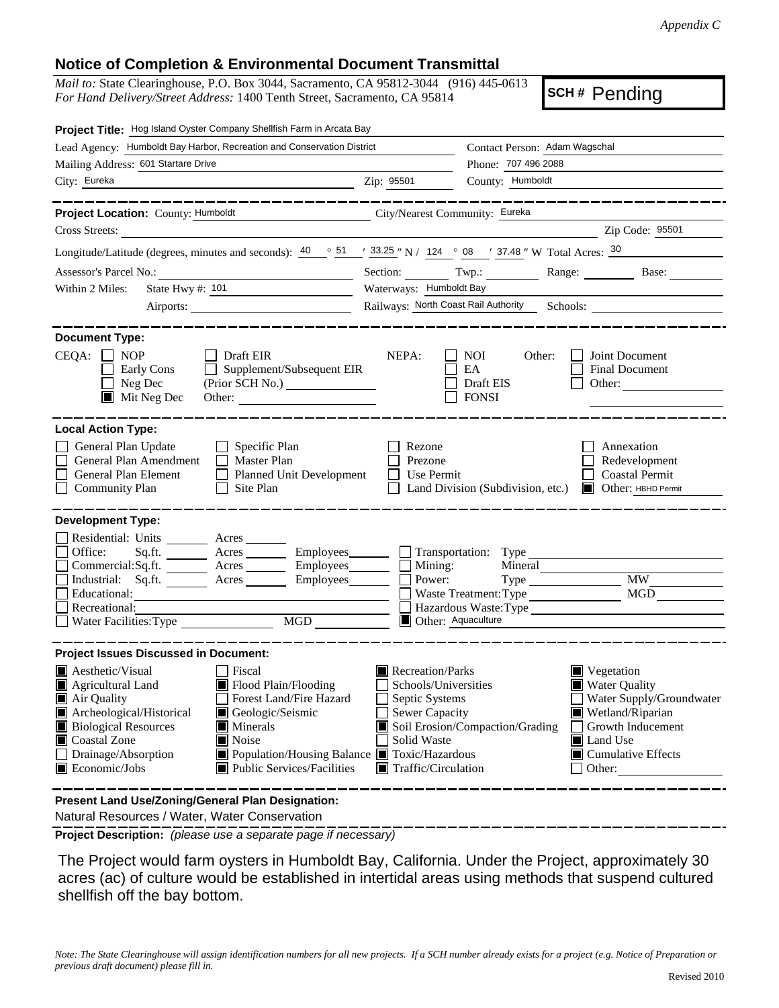## **Notice of Completion & Environmental Document Transmittal**

*Mail to:* State Clearinghouse, P.O. Box 3044, Sacramento, CA 95812-3044 (916) 445-0613 *For Hand Delivery/Street Address:* 1400 Tenth Street, Sacramento, CA 95814

**SCH #** Pending

| Project Title: Hog Island Oyster Company Shellfish Farm in Arcata Bay                                                                                                                                                                                                                                                                                                                                                                                                                                      |                                                                                                                                                                                                                                                                                                                                                   |  |  |
|------------------------------------------------------------------------------------------------------------------------------------------------------------------------------------------------------------------------------------------------------------------------------------------------------------------------------------------------------------------------------------------------------------------------------------------------------------------------------------------------------------|---------------------------------------------------------------------------------------------------------------------------------------------------------------------------------------------------------------------------------------------------------------------------------------------------------------------------------------------------|--|--|
| Lead Agency: Humboldt Bay Harbor, Recreation and Conservation District                                                                                                                                                                                                                                                                                                                                                                                                                                     | Contact Person: Adam Wagschal                                                                                                                                                                                                                                                                                                                     |  |  |
| Mailing Address: 601 Startare Drive                                                                                                                                                                                                                                                                                                                                                                                                                                                                        | Phone: 707 496 2088                                                                                                                                                                                                                                                                                                                               |  |  |
| City: Eureka<br><u> 1989 - Johann Barn, mars eta bainar eta baina eta baina eta baina eta baina eta baina eta baina eta baina e</u>                                                                                                                                                                                                                                                                                                                                                                        | County: Humboldt<br>Zip: 95501                                                                                                                                                                                                                                                                                                                    |  |  |
| ______________                                                                                                                                                                                                                                                                                                                                                                                                                                                                                             | _________________                                                                                                                                                                                                                                                                                                                                 |  |  |
| Project Location: County: Humboldt<br>Cross Streets:                                                                                                                                                                                                                                                                                                                                                                                                                                                       | City/Nearest Community: Eureka<br>Zip Code: 95501                                                                                                                                                                                                                                                                                                 |  |  |
| <u> 1980 - Jan Samuel Barbara, politik eta provincia eta provincia eta provincia eta provincia eta provincia eta</u>                                                                                                                                                                                                                                                                                                                                                                                       | <u> 1980 - Johann Barbara, martin da basar a shekara 1980 - An tsaran a shekara 1980 - An tsara 1980 - An tsara</u>                                                                                                                                                                                                                               |  |  |
|                                                                                                                                                                                                                                                                                                                                                                                                                                                                                                            | Longitude/Latitude (degrees, minutes and seconds): $\frac{40}{9}$ $\frac{51}{1}$ $\frac{33.25}{1}$ N / 124 $\degree$ 08 $\degree$ 37.48 " W Total Acres: $\frac{30}{1}$                                                                                                                                                                           |  |  |
| State Hwy #: 101<br>Within 2 Miles:                                                                                                                                                                                                                                                                                                                                                                                                                                                                        | Section: Twp.: Twp.: Range: Base: Base:<br>Waterways: Humboldt Bay                                                                                                                                                                                                                                                                                |  |  |
| the control of the control of the control of                                                                                                                                                                                                                                                                                                                                                                                                                                                               | Railways: North Coast Rail Authority Schools: __________________________________                                                                                                                                                                                                                                                                  |  |  |
|                                                                                                                                                                                                                                                                                                                                                                                                                                                                                                            |                                                                                                                                                                                                                                                                                                                                                   |  |  |
| <b>Document Type:</b><br>$CEQA: \Box NOP$<br><b>Draft EIR</b><br>Supplement/Subsequent EIR<br>Early Cons<br>Neg Dec<br>(Prior SCH No.)<br>$\blacksquare$<br>$\blacksquare$ Mit Neg Dec<br>Other:                                                                                                                                                                                                                                                                                                           | NEPA:<br>Joint Document<br>NOI<br>Other:<br>EA<br>Final Document<br>Draft EIS<br>Other:<br><b>FONSI</b>                                                                                                                                                                                                                                           |  |  |
| <b>Local Action Type:</b><br>General Plan Update<br>$\Box$ Specific Plan<br>General Plan Amendment<br>$\Box$ Master Plan<br>General Plan Element<br>Planned Unit Development<br><b>Community Plan</b><br>Site Plan<br>$\Box$                                                                                                                                                                                                                                                                               | Rezone<br>Annexation<br>Prezone<br>Redevelopment<br><b>Coastal Permit</b><br>Use Permit<br>Land Division (Subdivision, etc.) <b>I</b> Other: HBHD Permit                                                                                                                                                                                          |  |  |
| <b>Development Type:</b><br>Residential: Units ________ Acres _______<br>Office:<br>Commercial:Sq.ft. ________ Acres _________ Employees ________ $\Box$<br>Industrial: Sq.ft. _______ Acres ________ Employees_______<br>Educational:<br>Recreational:<br>Water Facilities: Type MGD                                                                                                                                                                                                                      | Sq.ft. ________ Acres _________ Employees _______ __ Transportation: Type _______<br>Mining:<br>Mineral<br><b>MW</b><br>Power:<br><b>MGD</b><br>Waste Treatment: Type<br>Hazardous Waste: Type<br>Other: Aquaculture                                                                                                                              |  |  |
| <b>Project Issues Discussed in Document:</b><br>$\blacksquare$ Aesthetic/Visual<br><b>Fiscal</b><br>Flood Plain/Flooding<br><b>E</b> Agricultural Land<br>Forest Land/Fire Hazard<br>Air Quality<br>Archeological/Historical<br>Geologic/Seismic<br><b>Biological Resources</b><br><b>Minerals</b><br>Noise<br>Coastal Zone<br>Drainage/Absorption<br>■ Population/Housing Balance ■ Toxic/Hazardous<br>Economic/Jobs<br>■ Public Services/Facilities<br>Present Land Use/Zoning/General Plan Designation: | Recreation/Parks<br>Vegetation<br>Schools/Universities<br><b>Water Quality</b><br>Septic Systems<br>Water Supply/Groundwater<br>Sewer Capacity<br>Wetland/Riparian<br>Soil Erosion/Compaction/Grading<br>Growth Inducement<br>Solid Waste<br>Land Use<br>$\blacksquare$ Cumulative Effects<br>$\blacksquare$ Traffic/Circulation<br>$\Box$ Other: |  |  |
|                                                                                                                                                                                                                                                                                                                                                                                                                                                                                                            |                                                                                                                                                                                                                                                                                                                                                   |  |  |

Natural Resources / Water, Water Conservation

**Project Description:** *(please use a separate page if necessary)*

 The Project would farm oysters in Humboldt Bay, California. Under the Project, approximately 30 acres (ac) of culture would be established in intertidal areas using methods that suspend cultured shellfish off the bay bottom.